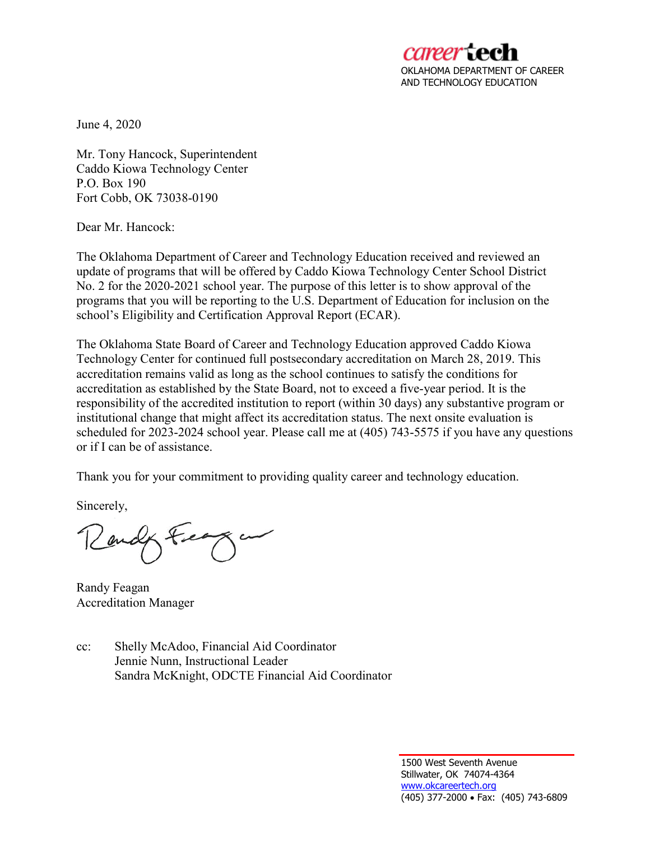

June 4, 2020

Mr. Tony Hancock, Superintendent Caddo Kiowa Technology Center P.O. Box 190 Fort Cobb, OK 73038-0190

Dear Mr. Hancock:

The Oklahoma Department of Career and Technology Education received and reviewed an update of programs that will be offered by Caddo Kiowa Technology Center School District No. 2 for the 2020-2021 school year. The purpose of this letter is to show approval of the programs that you will be reporting to the U.S. Department of Education for inclusion on the school's Eligibility and Certification Approval Report (ECAR).

The Oklahoma State Board of Career and Technology Education approved Caddo Kiowa Technology Center for continued full postsecondary accreditation on March 28, 2019. This accreditation remains valid as long as the school continues to satisfy the conditions for accreditation as established by the State Board, not to exceed a five-year period. It is the responsibility of the accredited institution to report (within 30 days) any substantive program or institutional change that might affect its accreditation status. The next onsite evaluation is scheduled for 2023-2024 school year. Please call me at (405) 743-5575 if you have any questions or if I can be of assistance.

Thank you for your commitment to providing quality career and technology education.

Sincerely,

Randy Feagan Accreditation Manager

cc: Shelly McAdoo, Financial Aid Coordinator Jennie Nunn, Instructional Leader Sandra McKnight, ODCTE Financial Aid Coordinator